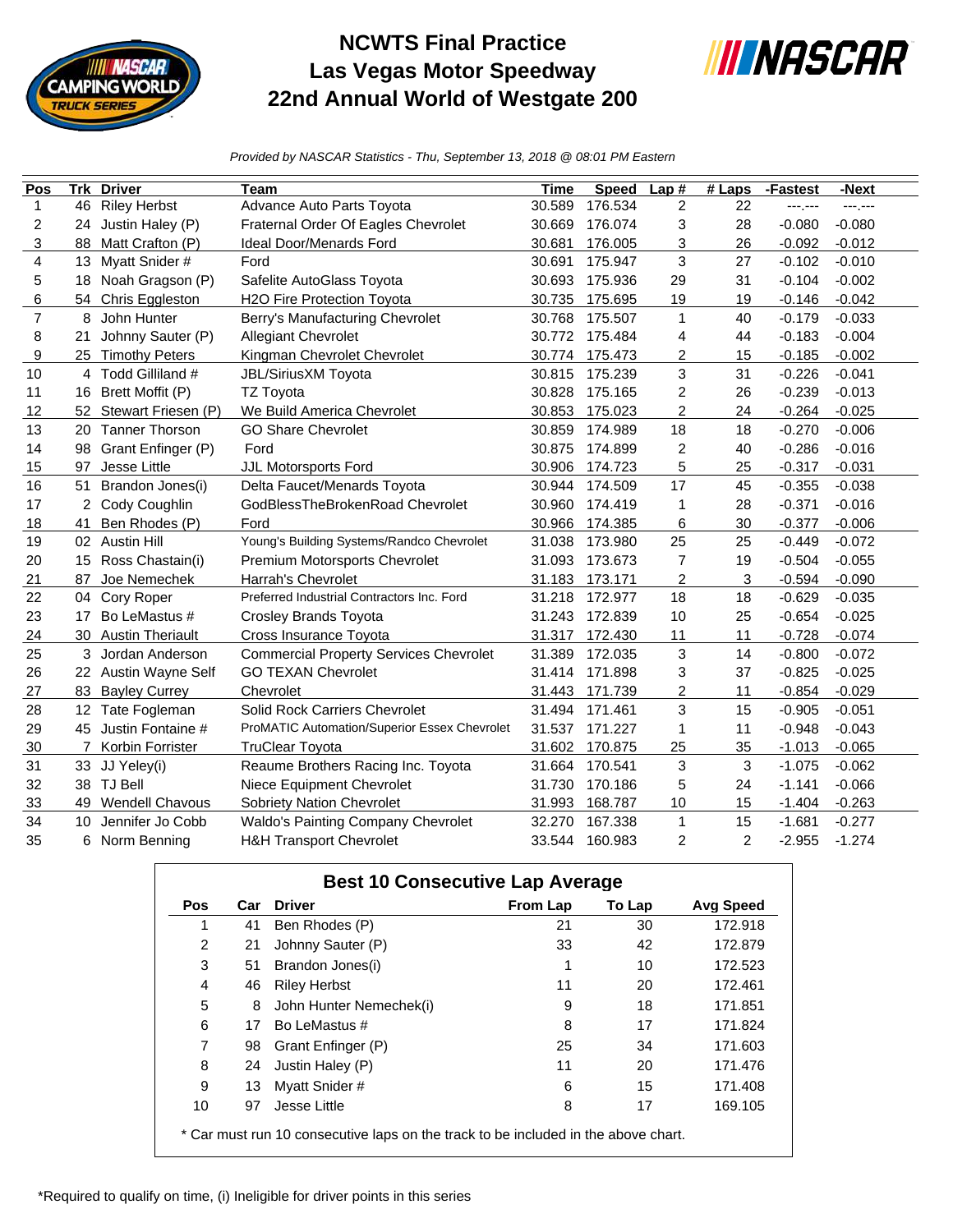

## **NCWTS Final Practice Las Vegas Motor Speedway 22nd Annual World of Westgate 200**



*Provided by NASCAR Statistics - Thu, September 13, 2018 @ 08:01 PM Eastern*

| Pos            | <b>Trk</b> | <b>Driver</b>           | Team                                          | <b>Time</b> | <b>Speed</b> | Lap#           | $#$ Laps | -Fastest | -Next    |
|----------------|------------|-------------------------|-----------------------------------------------|-------------|--------------|----------------|----------|----------|----------|
| $\mathbf 1$    | 46         | <b>Riley Herbst</b>     | Advance Auto Parts Toyota                     | 30.589      | 176.534      | $\overline{2}$ | 22       | ---;---  | ------   |
| 2              | 24         | Justin Haley (P)        | Fraternal Order Of Eagles Chevrolet           | 30.669      | 176.074      | 3              | 28       | $-0.080$ | $-0.080$ |
| 3              | 88         | Matt Crafton (P)        | <b>Ideal Door/Menards Ford</b>                | 30.681      | 176.005      | 3              | 26       | $-0.092$ | $-0.012$ |
| 4              | 13         | Myatt Snider #          | Ford                                          | 30.691      | 175.947      | 3              | 27       | $-0.102$ | $-0.010$ |
| 5              |            | 18 Noah Gragson (P)     | Safelite AutoGlass Toyota                     | 30.693      | 175.936      | 29             | 31       | $-0.104$ | $-0.002$ |
| 6              | 54         | Chris Eggleston         | H2O Fire Protection Toyota                    | 30.735      | 175.695      | 19             | 19       | $-0.146$ | $-0.042$ |
| $\overline{7}$ | 8          | John Hunter             | Berry's Manufacturing Chevrolet               | 30.768      | 175.507      | 1              | 40       | $-0.179$ | $-0.033$ |
| 8              | 21         | Johnny Sauter (P)       | <b>Allegiant Chevrolet</b>                    | 30.772      | 175.484      | 4              | 44       | $-0.183$ | $-0.004$ |
| 9              | 25         | <b>Timothy Peters</b>   | Kingman Chevrolet Chevrolet                   | 30.774      | 175.473      | 2              | 15       | $-0.185$ | $-0.002$ |
| 10             | 4          | Todd Gilliland #        | JBL/SiriusXM Toyota                           | 30.815      | 175.239      | 3              | 31       | $-0.226$ | $-0.041$ |
| 11             | 16         | Brett Moffit (P)        | <b>TZ Toyota</b>                              | 30.828      | 175.165      | 2              | 26       | $-0.239$ | $-0.013$ |
| 12             |            | 52 Stewart Friesen (P)  | We Build America Chevrolet                    | 30.853      | 175.023      | $\overline{c}$ | 24       | $-0.264$ | $-0.025$ |
| 13             |            | 20 Tanner Thorson       | <b>GO Share Chevrolet</b>                     | 30.859      | 174.989      | 18             | 18       | $-0.270$ | $-0.006$ |
| 14             | 98         | Grant Enfinger (P)      | Ford                                          | 30.875      | 174.899      | $\overline{c}$ | 40       | $-0.286$ | $-0.016$ |
| 15             | 97         | Jesse Little            | JJL Motorsports Ford                          | 30.906      | 174.723      | 5              | 25       | $-0.317$ | $-0.031$ |
| 16             | 51         | Brandon Jones(i)        | Delta Faucet/Menards Toyota                   | 30.944      | 174.509      | 17             | 45       | $-0.355$ | $-0.038$ |
| 17             |            | Cody Coughlin           | GodBlessTheBrokenRoad Chevrolet               | 30.960      | 174.419      | 1              | 28       | $-0.371$ | $-0.016$ |
| 18             | 41         | Ben Rhodes (P)          | Ford                                          | 30.966      | 174.385      | 6              | 30       | $-0.377$ | $-0.006$ |
| 19             |            | 02 Austin Hill          | Young's Building Systems/Randco Chevrolet     | 31.038      | 173.980      | 25             | 25       | $-0.449$ | $-0.072$ |
| 20             | 15         | Ross Chastain(i)        | Premium Motorsports Chevrolet                 | 31.093      | 173.673      | $\overline{7}$ | 19       | $-0.504$ | $-0.055$ |
| 21             | 87         | Joe Nemechek            | Harrah's Chevrolet                            | 31.183      | 173.171      | $\overline{2}$ | 3        | $-0.594$ | $-0.090$ |
| 22             | 04         | Cory Roper              | Preferred Industrial Contractors Inc. Ford    | 31.218      | 172.977      | 18             | 18       | $-0.629$ | $-0.035$ |
| 23             | 17         | Bo LeMastus #           | Crosley Brands Toyota                         | 31.243      | 172.839      | 10             | 25       | $-0.654$ | $-0.025$ |
| 24             | 30         | <b>Austin Theriault</b> | Cross Insurance Toyota                        | 31.317      | 172.430      | 11             | 11       | $-0.728$ | $-0.074$ |
| 25             | 3          | Jordan Anderson         | <b>Commercial Property Services Chevrolet</b> | 31.389      | 172.035      | 3              | 14       | $-0.800$ | $-0.072$ |
| 26             |            | 22 Austin Wayne Self    | <b>GO TEXAN Chevrolet</b>                     | 31.414      | 171.898      | 3              | 37       | $-0.825$ | $-0.025$ |
| 27             | 83         | <b>Bayley Currey</b>    | Chevrolet                                     | 31.443      | 171.739      | $\overline{2}$ | 11       | $-0.854$ | $-0.029$ |
| 28             |            | 12 Tate Fogleman        | Solid Rock Carriers Chevrolet                 | 31.494      | 171.461      | 3              | 15       | $-0.905$ | $-0.051$ |
| 29             | 45         | Justin Fontaine #       | ProMATIC Automation/Superior Essex Chevrolet  | 31.537      | 171.227      | 1              | 11       | $-0.948$ | $-0.043$ |
| 30             |            | Korbin Forrister        | <b>TruClear Toyota</b>                        | 31.602      | 170.875      | 25             | 35       | $-1.013$ | $-0.065$ |
| 31             | 33         | JJ Yeley(i)             | Reaume Brothers Racing Inc. Toyota            | 31.664      | 170.541      | 3              | 3        | $-1.075$ | $-0.062$ |
| 32             | 38         | <b>TJ Bell</b>          | Niece Equipment Chevrolet                     | 31.730      | 170.186      | 5              | 24       | $-1.141$ | $-0.066$ |
| 33             | 49         | <b>Wendell Chavous</b>  | Sobriety Nation Chevrolet                     | 31.993      | 168.787      | 10             | 15       | $-1.404$ | $-0.263$ |
| 34             | 10         | Jennifer Jo Cobb        | Waldo's Painting Company Chevrolet            | 32.270      | 167.338      | 1              | 15       | $-1.681$ | $-0.277$ |
| 35             | 6          | Norm Benning            | <b>H&amp;H Transport Chevrolet</b>            | 33.544      | 160.983      | 2              | 2        | $-2.955$ | $-1.274$ |

| <b>Pos</b>     | Car | <b>Driver</b>           | <b>From Lap</b> | To Lap | <b>Avg Speed</b> |
|----------------|-----|-------------------------|-----------------|--------|------------------|
| 1              | 41  | Ben Rhodes (P)          | 21              | 30     | 172.918          |
| 2              | 21  | Johnny Sauter (P)       | 33              | 42     | 172.879          |
| 3              | 51  | Brandon Jones(i)        |                 | 10     | 172.523          |
| 4              | 46  | <b>Riley Herbst</b>     | 11              | 20     | 172.461          |
| 5              | 8   | John Hunter Nemechek(i) | 9               | 18     | 171.851          |
| 6              | 17  | Bo LeMastus #           | 8               | 17     | 171.824          |
| $\overline{7}$ | 98  | Grant Enfinger (P)      | 25              | 34     | 171.603          |
| 8              | 24  | Justin Haley (P)        | 11              | 20     | 171.476          |
| 9              | 13  | Myatt Snider #          | 6               | 15     | 171.408          |
| 10             | 97  | Jesse Little            | 8               | 17     | 169.105          |